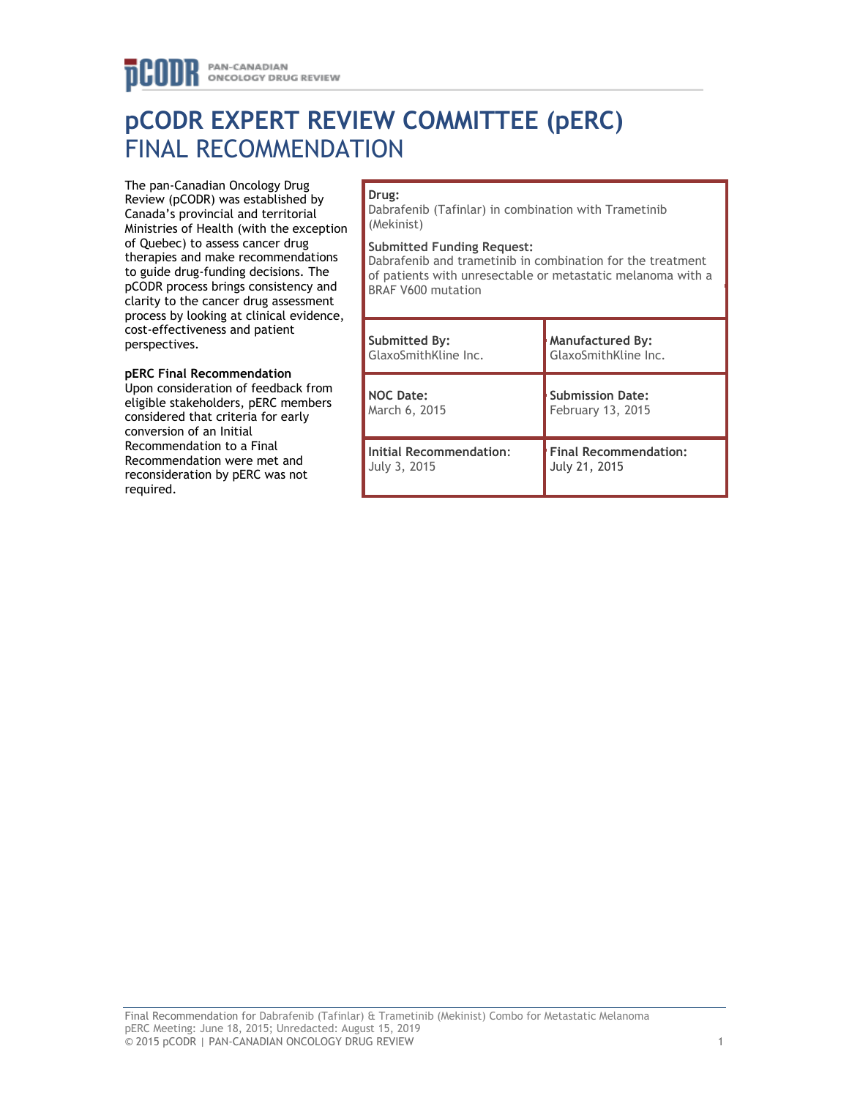# **pCODR EXPERT REVIEW COMMITTEE (pERC)** FINAL RECOMMENDATION

The pan-Canadian Oncology Drug Review (pCODR) was established by Canada's provincial and territorial Ministries of Health (with the exception of Quebec) to assess cancer drug therapies and make recommendations to guide drug-funding decisions. The pCODR process brings consistency and clarity to the cancer drug assessment process by looking at clinical evidence, cost-effectiveness and patient perspectives.

# **pERC Final Recommendation**

Upon consideration of feedback from eligible stakeholders, pERC members considered that criteria for early conversion of an Initial Recommendation to a Final Recommendation were met and reconsideration by pERC was not required.

# **Drug:**

Dabrafenib (Tafinlar) in combination with Trametinib (Mekinist)

#### **Submitted Funding Request:**

Dabrafenib and trametinib in combination for the treatment of patients with unresectable or metastatic melanoma with a BRAF V600 mutation

| Submitted By:                  | <b>Manufactured By:</b>      |
|--------------------------------|------------------------------|
| GlaxoSmithKline Inc.           | GlaxoSmithKline Inc.         |
| <b>NOC Date:</b>               | <b>Submission Date:</b>      |
| March 6, 2015                  | February 13, 2015            |
| <b>Initial Recommendation:</b> | <b>Final Recommendation:</b> |
| July 3, 2015                   | July 21, 2015                |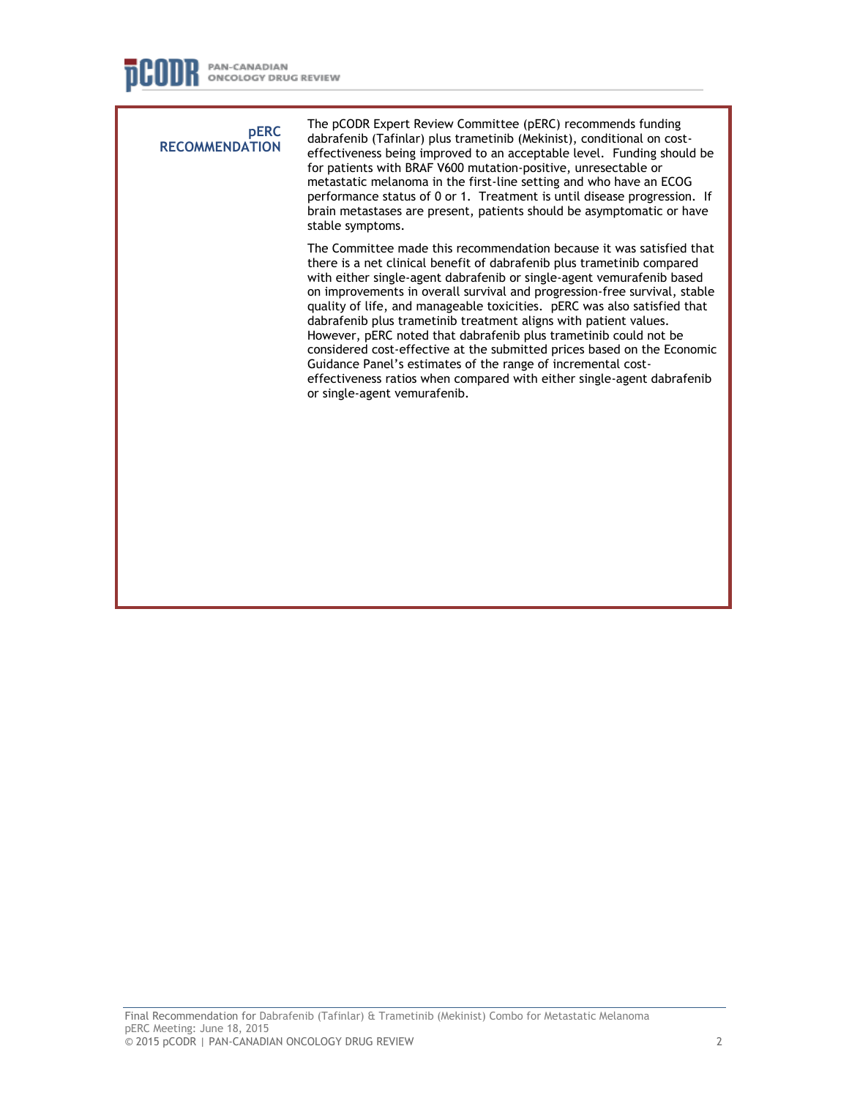**pERC RECOMMENDATION** The pCODR Expert Review Committee (pERC) recommends funding dabrafenib (Tafinlar) plus trametinib (Mekinist), conditional on costeffectiveness being improved to an acceptable level. Funding should be for patients with BRAF V600 mutation-positive, unresectable or metastatic melanoma in the first-line setting and who have an ECOG performance status of 0 or 1. Treatment is until disease progression. If brain metastases are present, patients should be asymptomatic or have stable symptoms. The Committee made this recommendation because it was satisfied that there is a net clinical benefit of dabrafenib plus trametinib compared with either single-agent dabrafenib or single-agent vemurafenib based on improvements in overall survival and progression-free survival, stable quality of life, and manageable toxicities. pERC was also satisfied that dabrafenib plus trametinib treatment aligns with patient values. However, pERC noted that dabrafenib plus trametinib could not be considered cost-effective at the submitted prices based on the Economic Guidance Panel's estimates of the range of incremental costeffectiveness ratios when compared with either single-agent dabrafenib or single-agent vemurafenib.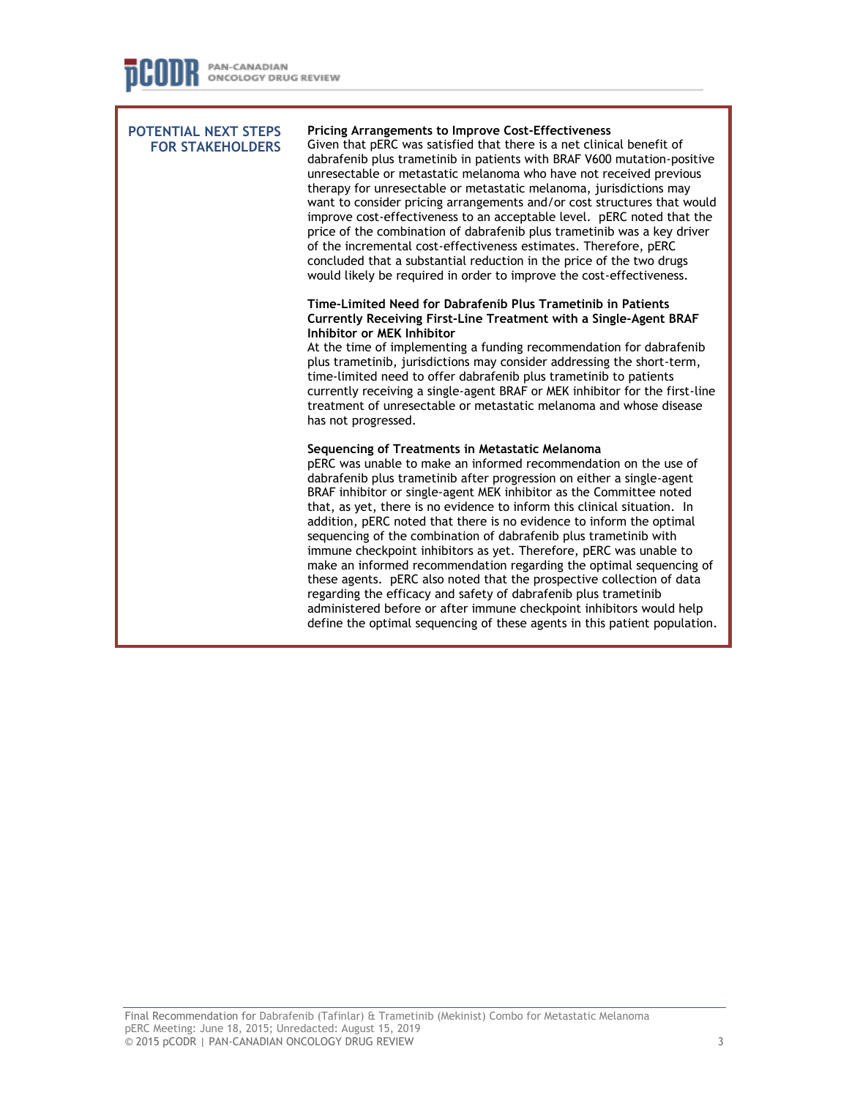| <b>POTENTIAL NEXT STEPS</b><br><b>FOR STAKEHOLDERS</b> | <b>Pricing Arrangements to Improve Cost-Effectiveness</b><br>Given that pERC was satisfied that there is a net clinical benefit of<br>dabrafenib plus trametinib in patients with BRAF V600 mutation-positive<br>unresectable or metastatic melanoma who have not received previous<br>therapy for unresectable or metastatic melanoma, jurisdictions may<br>want to consider pricing arrangements and/or cost structures that would<br>improve cost-effectiveness to an acceptable level. pERC noted that the<br>price of the combination of dabrafenib plus trametinib was a key driver<br>of the incremental cost-effectiveness estimates. Therefore, pERC<br>concluded that a substantial reduction in the price of the two drugs<br>would likely be required in order to improve the cost-effectiveness.                                                                                                                             |
|--------------------------------------------------------|-------------------------------------------------------------------------------------------------------------------------------------------------------------------------------------------------------------------------------------------------------------------------------------------------------------------------------------------------------------------------------------------------------------------------------------------------------------------------------------------------------------------------------------------------------------------------------------------------------------------------------------------------------------------------------------------------------------------------------------------------------------------------------------------------------------------------------------------------------------------------------------------------------------------------------------------|
|                                                        | Time-Limited Need for Dabrafenib Plus Trametinib in Patients<br>Currently Receiving First-Line Treatment with a Single-Agent BRAF<br>Inhibitor or MEK Inhibitor<br>At the time of implementing a funding recommendation for dabrafenib<br>plus trametinib, jurisdictions may consider addressing the short-term,<br>time-limited need to offer dabrafenib plus trametinib to patients<br>currently receiving a single-agent BRAF or MEK inhibitor for the first-line<br>treatment of unresectable or metastatic melanoma and whose disease<br>has not progressed.                                                                                                                                                                                                                                                                                                                                                                         |
|                                                        | Sequencing of Treatments in Metastatic Melanoma<br>pERC was unable to make an informed recommendation on the use of<br>dabrafenib plus trametinib after progression on either a single-agent<br>BRAF inhibitor or single-agent MEK inhibitor as the Committee noted<br>that, as yet, there is no evidence to inform this clinical situation. In<br>addition, pERC noted that there is no evidence to inform the optimal<br>sequencing of the combination of dabrafenib plus trametinib with<br>immune checkpoint inhibitors as yet. Therefore, pERC was unable to<br>make an informed recommendation regarding the optimal sequencing of<br>these agents. pERC also noted that the prospective collection of data<br>regarding the efficacy and safety of dabrafenib plus trametinib<br>administered before or after immune checkpoint inhibitors would help<br>define the optimal sequencing of these agents in this patient population. |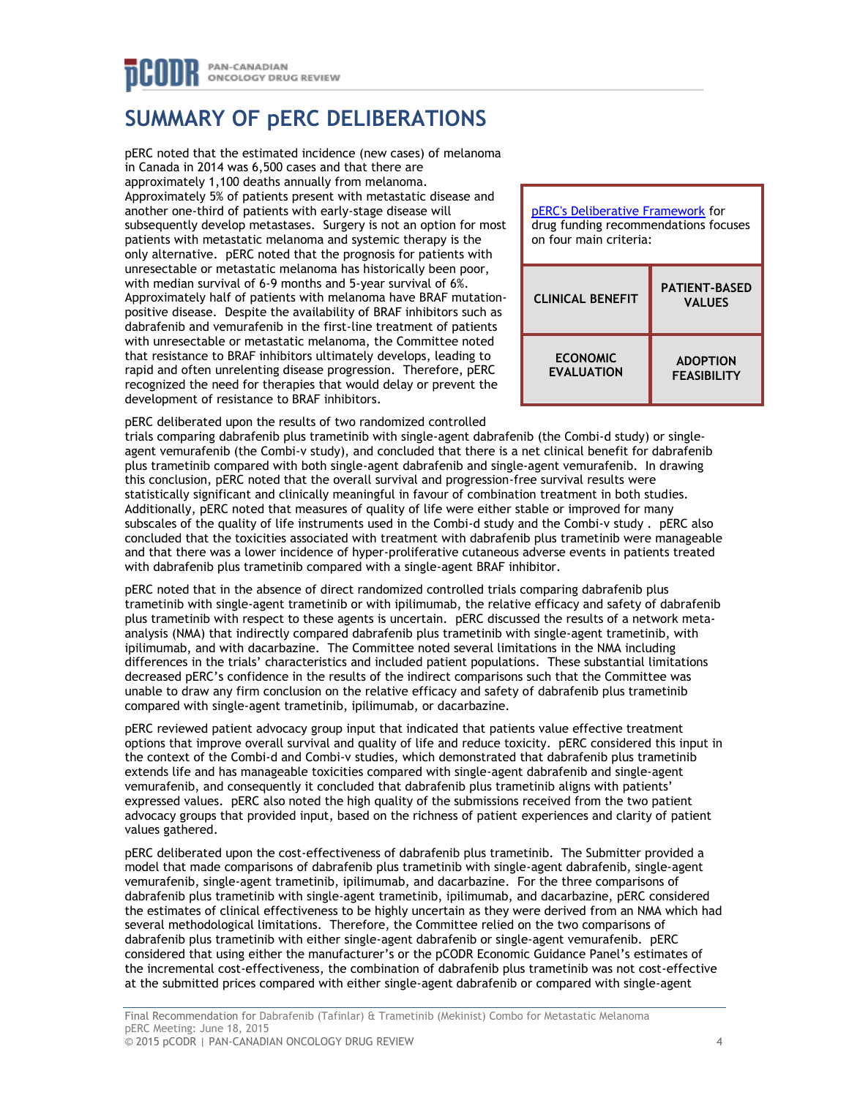# **SUMMARY OF pERC DELIBERATIONS**

pERC noted that the estimated incidence (new cases) of melanoma in Canada in 2014 was 6,500 cases and that there are approximately 1,100 deaths annually from melanoma. Approximately 5% of patients present with metastatic disease and another one-third of patients with early-stage disease will subsequently develop metastases. Surgery is not an option for most patients with metastatic melanoma and systemic therapy is the only alternative. pERC noted that the prognosis for patients with unresectable or metastatic melanoma has historically been poor, with median survival of 6-9 months and 5-year survival of 6%. Approximately half of patients with melanoma have BRAF mutationpositive disease. Despite the availability of BRAF inhibitors such as dabrafenib and vemurafenib in the first-line treatment of patients with unresectable or metastatic melanoma, the Committee noted that resistance to BRAF inhibitors ultimately develops, leading to rapid and often unrelenting disease progression. Therefore, pERC recognized the need for therapies that would delay or prevent the development of resistance to BRAF inhibitors.

| pERC's Deliberative Framework for<br>drug funding recommendations focuses<br>on four main criteria: |                                       |  |
|-----------------------------------------------------------------------------------------------------|---------------------------------------|--|
| <b>CLINICAL BENEFIT</b>                                                                             | <b>PATIENT-BASED</b><br><b>VALUES</b> |  |
| <b>ECONOMIC</b><br><b>EVALUATION</b>                                                                | <b>ADOPTION</b><br><b>FEASIBILITY</b> |  |

pERC deliberated upon the results of two randomized controlled

trials comparing dabrafenib plus trametinib with single-agent dabrafenib (the Combi-d study) or singleagent vemurafenib (the Combi-v study), and concluded that there is a net clinical benefit for dabrafenib plus trametinib compared with both single-agent dabrafenib and single-agent vemurafenib. In drawing this conclusion, pERC noted that the overall survival and progression-free survival results were statistically significant and clinically meaningful in favour of combination treatment in both studies. Additionally, pERC noted that measures of quality of life were either stable or improved for many subscales of the quality of life instruments used in the Combi-d study and the Combi-v study . pERC also concluded that the toxicities associated with treatment with dabrafenib plus trametinib were manageable and that there was a lower incidence of hyper-proliferative cutaneous adverse events in patients treated with dabrafenib plus trametinib compared with a single-agent BRAF inhibitor.

pERC noted that in the absence of direct randomized controlled trials comparing dabrafenib plus trametinib with single-agent trametinib or with ipilimumab, the relative efficacy and safety of dabrafenib plus trametinib with respect to these agents is uncertain. pERC discussed the results of a network metaanalysis (NMA) that indirectly compared dabrafenib plus trametinib with single-agent trametinib, with ipilimumab, and with dacarbazine. The Committee noted several limitations in the NMA including differences in the trials' characteristics and included patient populations. These substantial limitations decreased pERC's confidence in the results of the indirect comparisons such that the Committee was unable to draw any firm conclusion on the relative efficacy and safety of dabrafenib plus trametinib compared with single-agent trametinib, ipilimumab, or dacarbazine.

pERC reviewed patient advocacy group input that indicated that patients value effective treatment options that improve overall survival and quality of life and reduce toxicity. pERC considered this input in the context of the Combi-d and Combi-v studies, which demonstrated that dabrafenib plus trametinib extends life and has manageable toxicities compared with single-agent dabrafenib and single-agent vemurafenib, and consequently it concluded that dabrafenib plus trametinib aligns with patients' expressed values. pERC also noted the high quality of the submissions received from the two patient advocacy groups that provided input, based on the richness of patient experiences and clarity of patient values gathered.

pERC deliberated upon the cost-effectiveness of dabrafenib plus trametinib. The Submitter provided a model that made comparisons of dabrafenib plus trametinib with single-agent dabrafenib, single-agent vemurafenib, single-agent trametinib, ipilimumab, and dacarbazine. For the three comparisons of dabrafenib plus trametinib with single-agent trametinib, ipilimumab, and dacarbazine, pERC considered the estimates of clinical effectiveness to be highly uncertain as they were derived from an NMA which had several methodological limitations. Therefore, the Committee relied on the two comparisons of dabrafenib plus trametinib with either single-agent dabrafenib or single-agent vemurafenib. pERC considered that using either the manufacturer's or the pCODR Economic Guidance Panel's estimates of the incremental cost-effectiveness, the combination of dabrafenib plus trametinib was not cost-effective at the submitted prices compared with either single-agent dabrafenib or compared with single-agent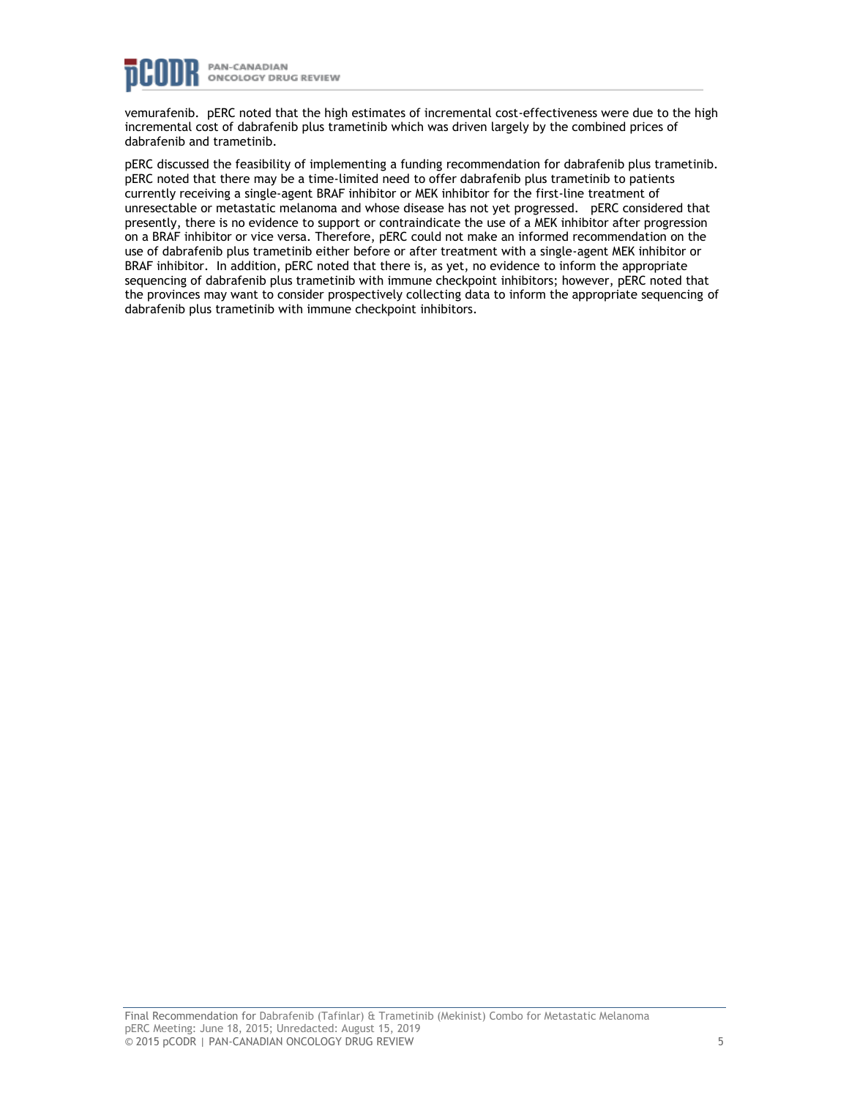

vemurafenib. pERC noted that the high estimates of incremental cost-effectiveness were due to the high incremental cost of dabrafenib plus trametinib which was driven largely by the combined prices of dabrafenib and trametinib.

pERC discussed the feasibility of implementing a funding recommendation for dabrafenib plus trametinib. pERC noted that there may be a time-limited need to offer dabrafenib plus trametinib to patients currently receiving a single-agent BRAF inhibitor or MEK inhibitor for the first-line treatment of unresectable or metastatic melanoma and whose disease has not yet progressed. pERC considered that presently, there is no evidence to support or contraindicate the use of a MEK inhibitor after progression on a BRAF inhibitor or vice versa. Therefore, pERC could not make an informed recommendation on the use of dabrafenib plus trametinib either before or after treatment with a single-agent MEK inhibitor or BRAF inhibitor. In addition, pERC noted that there is, as yet, no evidence to inform the appropriate sequencing of dabrafenib plus trametinib with immune checkpoint inhibitors; however, pERC noted that the provinces may want to consider prospectively collecting data to inform the appropriate sequencing of dabrafenib plus trametinib with immune checkpoint inhibitors.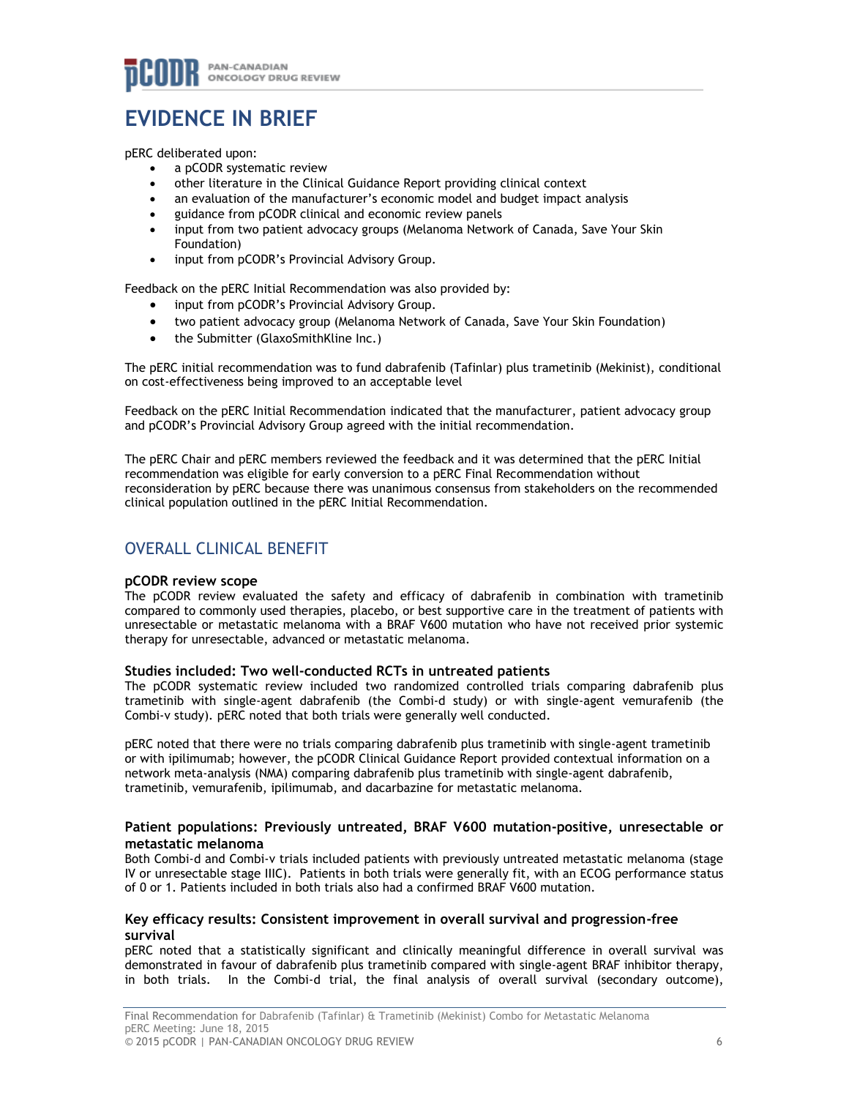# **EVIDENCE IN BRIEF**

pERC deliberated upon:

- a pCODR systematic review
- other literature in the Clinical Guidance Report providing clinical context
- an evaluation of the manufacturer's economic model and budget impact analysis
- guidance from pCODR clinical and economic review panels
- input from two patient advocacy groups (Melanoma Network of Canada, Save Your Skin Foundation)
- input from pCODR's Provincial Advisory Group.

Feedback on the pERC Initial Recommendation was also provided by:

- input from pCODR's Provincial Advisory Group.
- two patient advocacy group (Melanoma Network of Canada, Save Your Skin Foundation)
- the Submitter (GlaxoSmithKline Inc.)

The pERC initial recommendation was to fund dabrafenib (Tafinlar) plus trametinib (Mekinist), conditional on cost-effectiveness being improved to an acceptable level

Feedback on the pERC Initial Recommendation indicated that the manufacturer, patient advocacy group and pCODR's Provincial Advisory Group agreed with the initial recommendation.

The pERC Chair and pERC members reviewed the feedback and it was determined that the pERC Initial recommendation was eligible for early conversion to a pERC Final Recommendation without reconsideration by pERC because there was unanimous consensus from stakeholders on the recommended clinical population outlined in the pERC Initial Recommendation.

# OVERALL CLINICAL BENEFIT

## **pCODR review scope**

The pCODR review evaluated the safety and efficacy of dabrafenib in combination with trametinib compared to commonly used therapies, placebo, or best supportive care in the treatment of patients with unresectable or metastatic melanoma with a BRAF V600 mutation who have not received prior systemic therapy for unresectable, advanced or metastatic melanoma.

# **Studies included: Two well-conducted RCTs in untreated patients**

The pCODR systematic review included two randomized controlled trials comparing dabrafenib plus trametinib with single-agent dabrafenib (the Combi-d study) or with single-agent vemurafenib (the Combi-v study). pERC noted that both trials were generally well conducted.

pERC noted that there were no trials comparing dabrafenib plus trametinib with single-agent trametinib or with ipilimumab; however, the pCODR Clinical Guidance Report provided contextual information on a network meta-analysis (NMA) comparing dabrafenib plus trametinib with single-agent dabrafenib, trametinib, vemurafenib, ipilimumab, and dacarbazine for metastatic melanoma.

## **Patient populations: Previously untreated, BRAF V600 mutation-positive, unresectable or metastatic melanoma**

Both Combi-d and Combi-v trials included patients with previously untreated metastatic melanoma (stage IV or unresectable stage IIIC). Patients in both trials were generally fit, with an ECOG performance status of 0 or 1. Patients included in both trials also had a confirmed BRAF V600 mutation.

# **Key efficacy results: Consistent improvement in overall survival and progression-free survival**

pERC noted that a statistically significant and clinically meaningful difference in overall survival was demonstrated in favour of dabrafenib plus trametinib compared with single-agent BRAF inhibitor therapy, in both trials. In the Combi-d trial, the final analysis of overall survival (secondary outcome),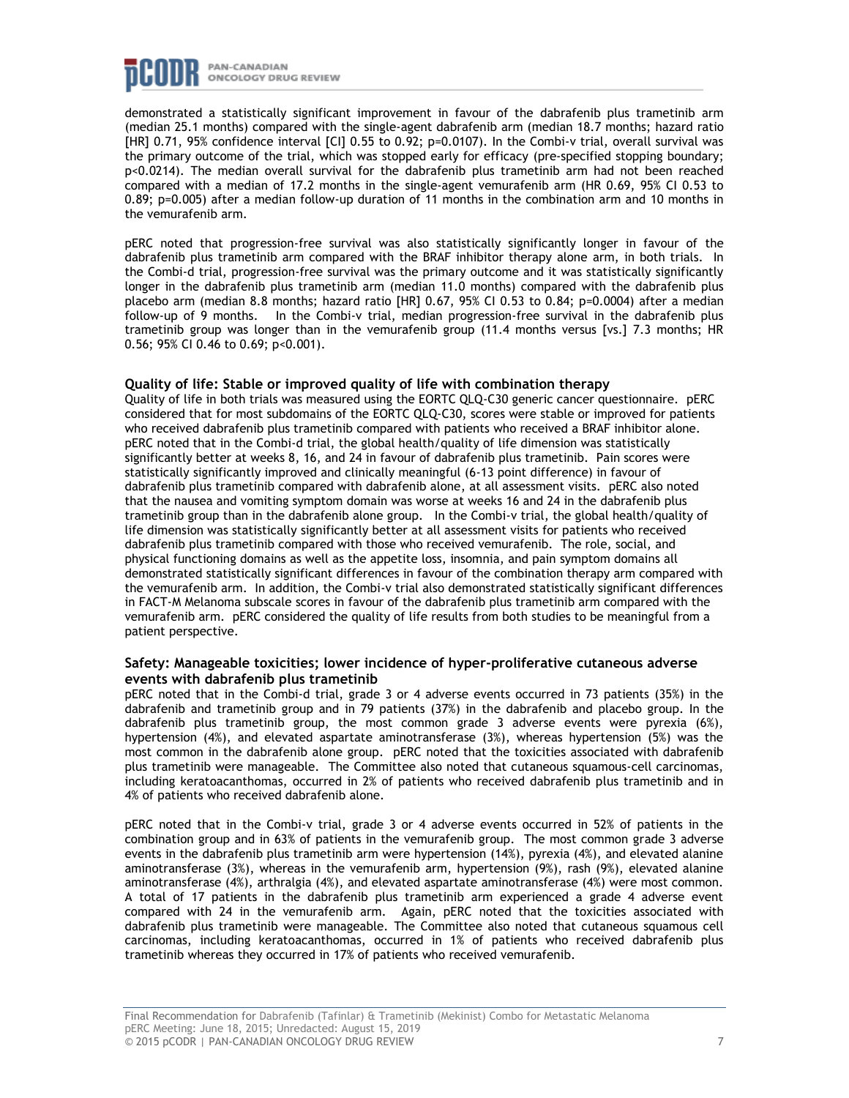

demonstrated a statistically significant improvement in favour of the dabrafenib plus trametinib arm (median 25.1 months) compared with the single-agent dabrafenib arm (median 18.7 months; hazard ratio [HR] 0.71, 95% confidence interval [CI] 0.55 to 0.92; p=0.0107). In the Combi-v trial, overall survival was the primary outcome of the trial, which was stopped early for efficacy (pre-specified stopping boundary; p<0.0214). The median overall survival for the dabrafenib plus trametinib arm had not been reached compared with a median of 17.2 months in the single-agent vemurafenib arm (HR 0.69, 95% CI 0.53 to 0.89; p=0.005) after a median follow-up duration of 11 months in the combination arm and 10 months in the vemurafenib arm.

pERC noted that progression-free survival was also statistically significantly longer in favour of the dabrafenib plus trametinib arm compared with the BRAF inhibitor therapy alone arm, in both trials. In the Combi-d trial, progression-free survival was the primary outcome and it was statistically significantly longer in the dabrafenib plus trametinib arm (median 11.0 months) compared with the dabrafenib plus placebo arm (median 8.8 months; hazard ratio [HR] 0.67, 95% CI 0.53 to 0.84; p=0.0004) after a median follow-up of 9 months. In the Combi-v trial, median progression-free survival in the dabrafenib plus trametinib group was longer than in the vemurafenib group (11.4 months versus [vs.] 7.3 months; HR 0.56; 95% CI 0.46 to 0.69; p<0.001).

## **Quality of life: Stable or improved quality of life with combination therapy**

Quality of life in both trials was measured using the EORTC QLQ-C30 generic cancer questionnaire. pERC considered that for most subdomains of the EORTC QLQ-C30, scores were stable or improved for patients who received dabrafenib plus trametinib compared with patients who received a BRAF inhibitor alone. pERC noted that in the Combi-d trial, the global health/quality of life dimension was statistically significantly better at weeks 8, 16, and 24 in favour of dabrafenib plus trametinib. Pain scores were statistically significantly improved and clinically meaningful (6-13 point difference) in favour of dabrafenib plus trametinib compared with dabrafenib alone, at all assessment visits. pERC also noted that the nausea and vomiting symptom domain was worse at weeks 16 and 24 in the dabrafenib plus trametinib group than in the dabrafenib alone group. In the Combi-v trial, the global health/quality of life dimension was statistically significantly better at all assessment visits for patients who received dabrafenib plus trametinib compared with those who received vemurafenib. The role, social, and physical functioning domains as well as the appetite loss, insomnia, and pain symptom domains all demonstrated statistically significant differences in favour of the combination therapy arm compared with the vemurafenib arm. In addition, the Combi-v trial also demonstrated statistically significant differences in FACT-M Melanoma subscale scores in favour of the dabrafenib plus trametinib arm compared with the vemurafenib arm. pERC considered the quality of life results from both studies to be meaningful from a patient perspective.

# **Safety: Manageable toxicities; lower incidence of hyper-proliferative cutaneous adverse events with dabrafenib plus trametinib**

pERC noted that in the Combi-d trial, grade 3 or 4 adverse events occurred in 73 patients (35%) in the dabrafenib and trametinib group and in 79 patients (37%) in the dabrafenib and placebo group. In the dabrafenib plus trametinib group, the most common grade 3 adverse events were pyrexia (6%), hypertension (4%), and elevated aspartate aminotransferase (3%), whereas hypertension (5%) was the most common in the dabrafenib alone group. pERC noted that the toxicities associated with dabrafenib plus trametinib were manageable. The Committee also noted that cutaneous squamous-cell carcinomas, including keratoacanthomas, occurred in 2% of patients who received dabrafenib plus trametinib and in 4% of patients who received dabrafenib alone.

pERC noted that in the Combi-v trial, grade 3 or 4 adverse events occurred in 52% of patients in the combination group and in 63% of patients in the vemurafenib group. The most common grade 3 adverse events in the dabrafenib plus trametinib arm were hypertension (14%), pyrexia (4%), and elevated alanine aminotransferase (3%), whereas in the vemurafenib arm, hypertension (9%), rash (9%), elevated alanine aminotransferase (4%), arthralgia (4%), and elevated aspartate aminotransferase (4%) were most common. A total of 17 patients in the dabrafenib plus trametinib arm experienced a grade 4 adverse event compared with 24 in the vemurafenib arm. Again, pERC noted that the toxicities associated with dabrafenib plus trametinib were manageable. The Committee also noted that cutaneous squamous cell carcinomas, including keratoacanthomas, occurred in 1% of patients who received dabrafenib plus trametinib whereas they occurred in 17% of patients who received vemurafenib.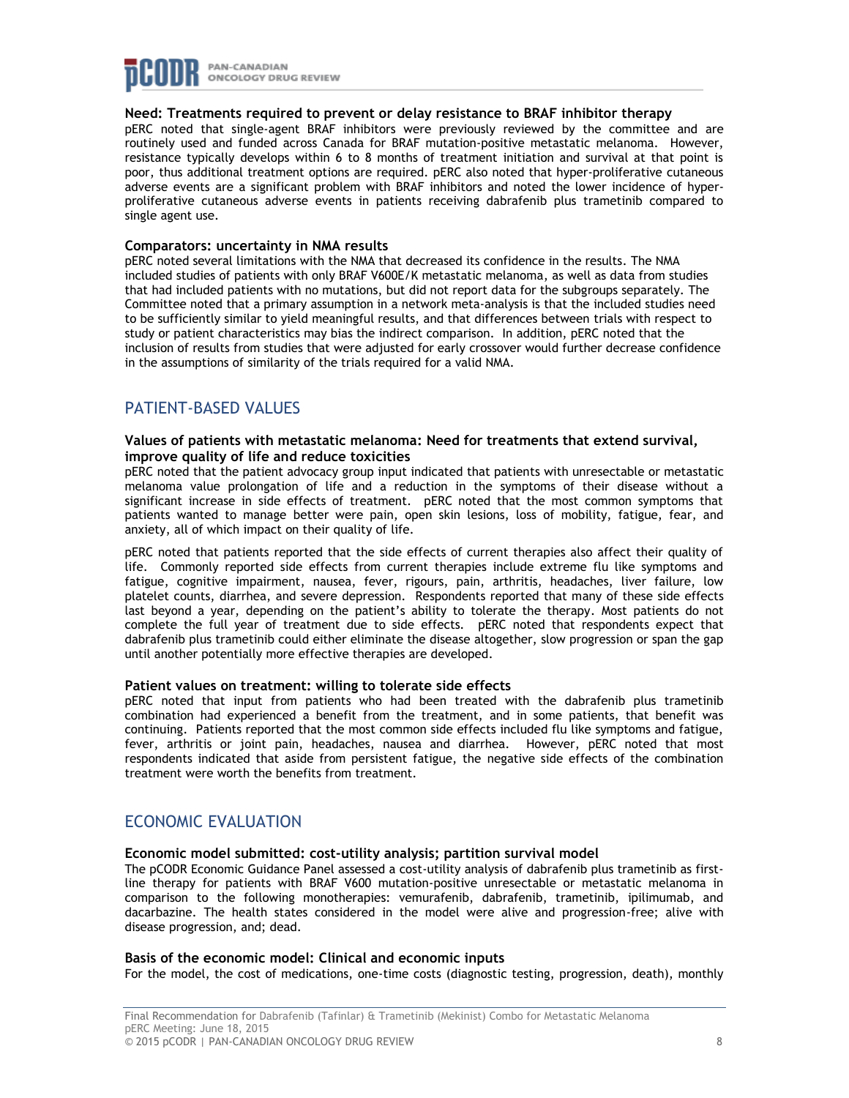

# **Need: Treatments required to prevent or delay resistance to BRAF inhibitor therapy**

pERC noted that single-agent BRAF inhibitors were previously reviewed by the committee and are routinely used and funded across Canada for BRAF mutation-positive metastatic melanoma. However, resistance typically develops within 6 to 8 months of treatment initiation and survival at that point is poor, thus additional treatment options are required. pERC also noted that hyper-proliferative cutaneous adverse events are a significant problem with BRAF inhibitors and noted the lower incidence of hyperproliferative cutaneous adverse events in patients receiving dabrafenib plus trametinib compared to single agent use.

#### **Comparators: uncertainty in NMA results**

pERC noted several limitations with the NMA that decreased its confidence in the results. The NMA included studies of patients with only BRAF V600E/K metastatic melanoma, as well as data from studies that had included patients with no mutations, but did not report data for the subgroups separately. The Committee noted that a primary assumption in a network meta-analysis is that the included studies need to be sufficiently similar to yield meaningful results, and that differences between trials with respect to study or patient characteristics may bias the indirect comparison. In addition, pERC noted that the inclusion of results from studies that were adjusted for early crossover would further decrease confidence in the assumptions of similarity of the trials required for a valid NMA.

# PATIENT-BASED VALUES

## **Values of patients with metastatic melanoma: Need for treatments that extend survival, improve quality of life and reduce toxicities**

pERC noted that the patient advocacy group input indicated that patients with unresectable or metastatic melanoma value prolongation of life and a reduction in the symptoms of their disease without a significant increase in side effects of treatment. pERC noted that the most common symptoms that patients wanted to manage better were pain, open skin lesions, loss of mobility, fatigue, fear, and anxiety, all of which impact on their quality of life.

pERC noted that patients reported that the side effects of current therapies also affect their quality of life. Commonly reported side effects from current therapies include extreme flu like symptoms and fatigue, cognitive impairment, nausea, fever, rigours, pain, arthritis, headaches, liver failure, low platelet counts, diarrhea, and severe depression. Respondents reported that many of these side effects last beyond a year, depending on the patient's ability to tolerate the therapy. Most patients do not complete the full year of treatment due to side effects. pERC noted that respondents expect that dabrafenib plus trametinib could either eliminate the disease altogether, slow progression or span the gap until another potentially more effective therapies are developed.

## **Patient values on treatment: willing to tolerate side effects**

pERC noted that input from patients who had been treated with the dabrafenib plus trametinib combination had experienced a benefit from the treatment, and in some patients, that benefit was continuing. Patients reported that the most common side effects included flu like symptoms and fatigue, fever, arthritis or joint pain, headaches, nausea and diarrhea. However, pERC noted that most respondents indicated that aside from persistent fatigue, the negative side effects of the combination treatment were worth the benefits from treatment.

# ECONOMIC EVALUATION

## **Economic model submitted: cost-utility analysis; partition survival model**

The pCODR Economic Guidance Panel assessed a cost-utility analysis of dabrafenib plus trametinib as firstline therapy for patients with BRAF V600 mutation-positive unresectable or metastatic melanoma in comparison to the following monotherapies: vemurafenib, dabrafenib, trametinib, ipilimumab, and dacarbazine. The health states considered in the model were alive and progression-free; alive with disease progression, and; dead.

## **Basis of the economic model: Clinical and economic inputs**

For the model, the cost of medications, one-time costs (diagnostic testing, progression, death), monthly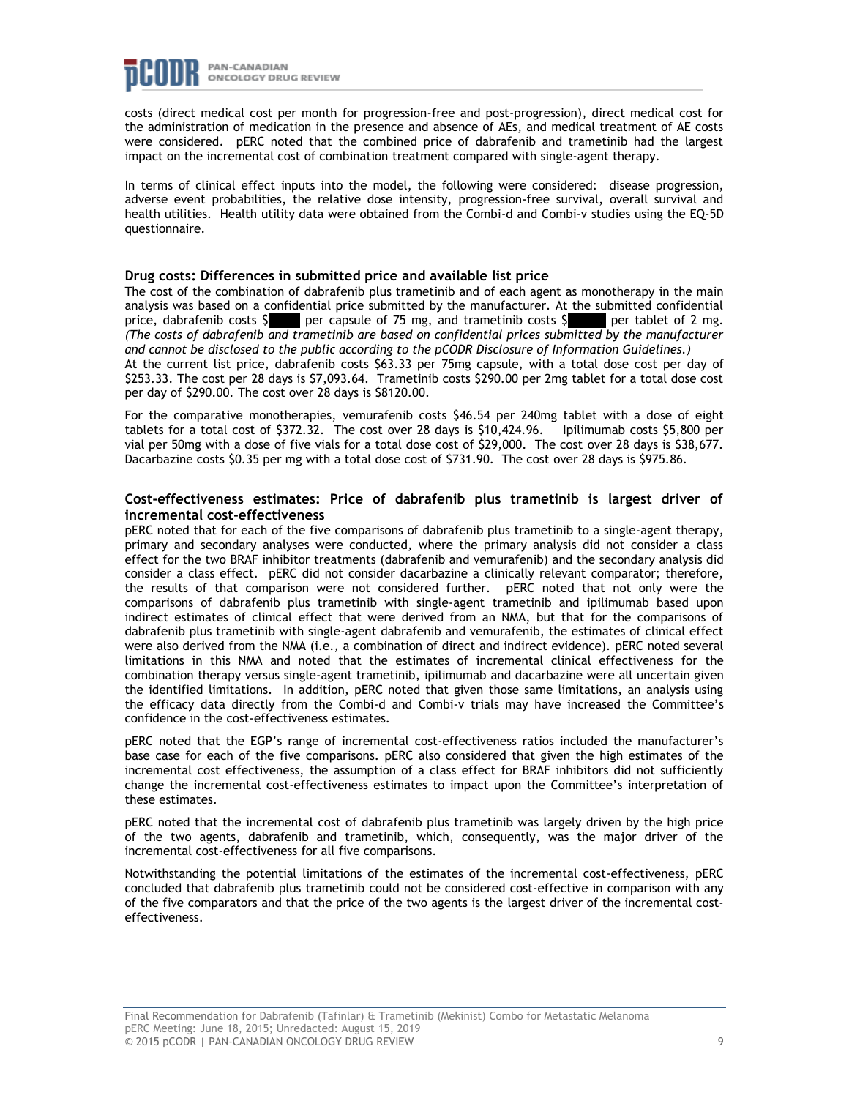

costs (direct medical cost per month for progression-free and post-progression), direct medical cost for the administration of medication in the presence and absence of AEs, and medical treatment of AE costs were considered. pERC noted that the combined price of dabrafenib and trametinib had the largest impact on the incremental cost of combination treatment compared with single-agent therapy.

In terms of clinical effect inputs into the model, the following were considered: disease progression, adverse event probabilities, the relative dose intensity, progression-free survival, overall survival and health utilities. Health utility data were obtained from the Combi-d and Combi-v studies using the EQ-5D questionnaire.

#### **Drug costs: Differences in submitted price and available list price**

The cost of the combination of dabrafenib plus trametinib and of each agent as monotherapy in the main analysis was based on a confidential price submitted by the manufacturer. At the submitted confidential price, dabrafenib costs  $\frac{5}{2}$  per capsule of 75 mg, and trametinib costs  $\frac{5}{2}$  per tablet of 2 mg. per capsule of 75 mg, and trametinib costs  $\frac{1}{2}$ *(The costs of dabrafenib and trametinib are based on confidential prices submitted by the manufacturer and cannot be disclosed to the public according to the pCODR Disclosure of Information Guidelines.)* At the current list price, dabrafenib costs \$63.33 per 75mg capsule, with a total dose cost per day of \$253.33. The cost per 28 days is \$7,093.64. Trametinib costs \$290.00 per 2mg tablet for a total dose cost per day of \$290.00. The cost over 28 days is \$8120.00.

For the comparative monotherapies, vemurafenib costs \$46.54 per 240mg tablet with a dose of eight tablets for a total cost of \$372.32. The cost over 28 days is \$10,424.96. Ipilimumab costs \$5,800 per vial per 50mg with a dose of five vials for a total dose cost of \$29,000. The cost over 28 days is \$38,677. Dacarbazine costs \$0.35 per mg with a total dose cost of \$731.90. The cost over 28 days is \$975.86.

#### **Cost-effectiveness estimates: Price of dabrafenib plus trametinib is largest driver of incremental cost-effectiveness**

pERC noted that for each of the five comparisons of dabrafenib plus trametinib to a single-agent therapy, primary and secondary analyses were conducted, where the primary analysis did not consider a class effect for the two BRAF inhibitor treatments (dabrafenib and vemurafenib) and the secondary analysis did consider a class effect. pERC did not consider dacarbazine a clinically relevant comparator; therefore, the results of that comparison were not considered further. pERC noted that not only were the comparisons of dabrafenib plus trametinib with single-agent trametinib and ipilimumab based upon indirect estimates of clinical effect that were derived from an NMA, but that for the comparisons of dabrafenib plus trametinib with single-agent dabrafenib and vemurafenib, the estimates of clinical effect were also derived from the NMA (i.e., a combination of direct and indirect evidence). pERC noted several limitations in this NMA and noted that the estimates of incremental clinical effectiveness for the combination therapy versus single-agent trametinib, ipilimumab and dacarbazine were all uncertain given the identified limitations. In addition, pERC noted that given those same limitations, an analysis using the efficacy data directly from the Combi-d and Combi-v trials may have increased the Committee's confidence in the cost-effectiveness estimates.

pERC noted that the EGP's range of incremental cost-effectiveness ratios included the manufacturer's base case for each of the five comparisons. pERC also considered that given the high estimates of the incremental cost effectiveness, the assumption of a class effect for BRAF inhibitors did not sufficiently change the incremental cost-effectiveness estimates to impact upon the Committee's interpretation of these estimates.

pERC noted that the incremental cost of dabrafenib plus trametinib was largely driven by the high price of the two agents, dabrafenib and trametinib, which, consequently, was the major driver of the incremental cost-effectiveness for all five comparisons.

Notwithstanding the potential limitations of the estimates of the incremental cost-effectiveness, pERC concluded that dabrafenib plus trametinib could not be considered cost-effective in comparison with any of the five comparators and that the price of the two agents is the largest driver of the incremental costeffectiveness.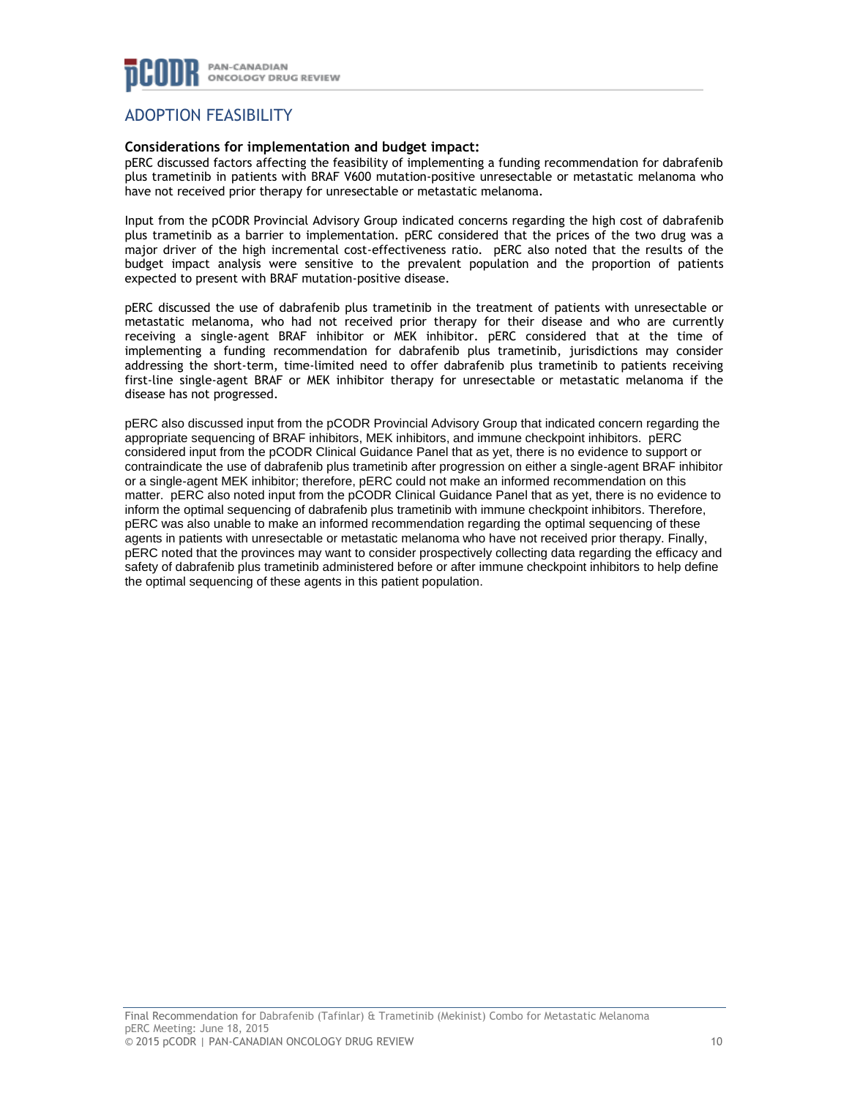

# ADOPTION FEASIBILITY

# **Considerations for implementation and budget impact:**

pERC discussed factors affecting the feasibility of implementing a funding recommendation for dabrafenib plus trametinib in patients with BRAF V600 mutation-positive unresectable or metastatic melanoma who have not received prior therapy for unresectable or metastatic melanoma.

Input from the pCODR Provincial Advisory Group indicated concerns regarding the high cost of dabrafenib plus trametinib as a barrier to implementation. pERC considered that the prices of the two drug was a major driver of the high incremental cost-effectiveness ratio. pERC also noted that the results of the budget impact analysis were sensitive to the prevalent population and the proportion of patients expected to present with BRAF mutation-positive disease.

pERC discussed the use of dabrafenib plus trametinib in the treatment of patients with unresectable or metastatic melanoma, who had not received prior therapy for their disease and who are currently receiving a single-agent BRAF inhibitor or MEK inhibitor. pERC considered that at the time of implementing a funding recommendation for dabrafenib plus trametinib, jurisdictions may consider addressing the short-term, time-limited need to offer dabrafenib plus trametinib to patients receiving first-line single-agent BRAF or MEK inhibitor therapy for unresectable or metastatic melanoma if the disease has not progressed.

pERC also discussed input from the pCODR Provincial Advisory Group that indicated concern regarding the appropriate sequencing of BRAF inhibitors, MEK inhibitors, and immune checkpoint inhibitors. pERC considered input from the pCODR Clinical Guidance Panel that as yet, there is no evidence to support or contraindicate the use of dabrafenib plus trametinib after progression on either a single-agent BRAF inhibitor or a single-agent MEK inhibitor; therefore, pERC could not make an informed recommendation on this matter. pERC also noted input from the pCODR Clinical Guidance Panel that as yet, there is no evidence to inform the optimal sequencing of dabrafenib plus trametinib with immune checkpoint inhibitors. Therefore, pERC was also unable to make an informed recommendation regarding the optimal sequencing of these agents in patients with unresectable or metastatic melanoma who have not received prior therapy. Finally, pERC noted that the provinces may want to consider prospectively collecting data regarding the efficacy and safety of dabrafenib plus trametinib administered before or after immune checkpoint inhibitors to help define the optimal sequencing of these agents in this patient population.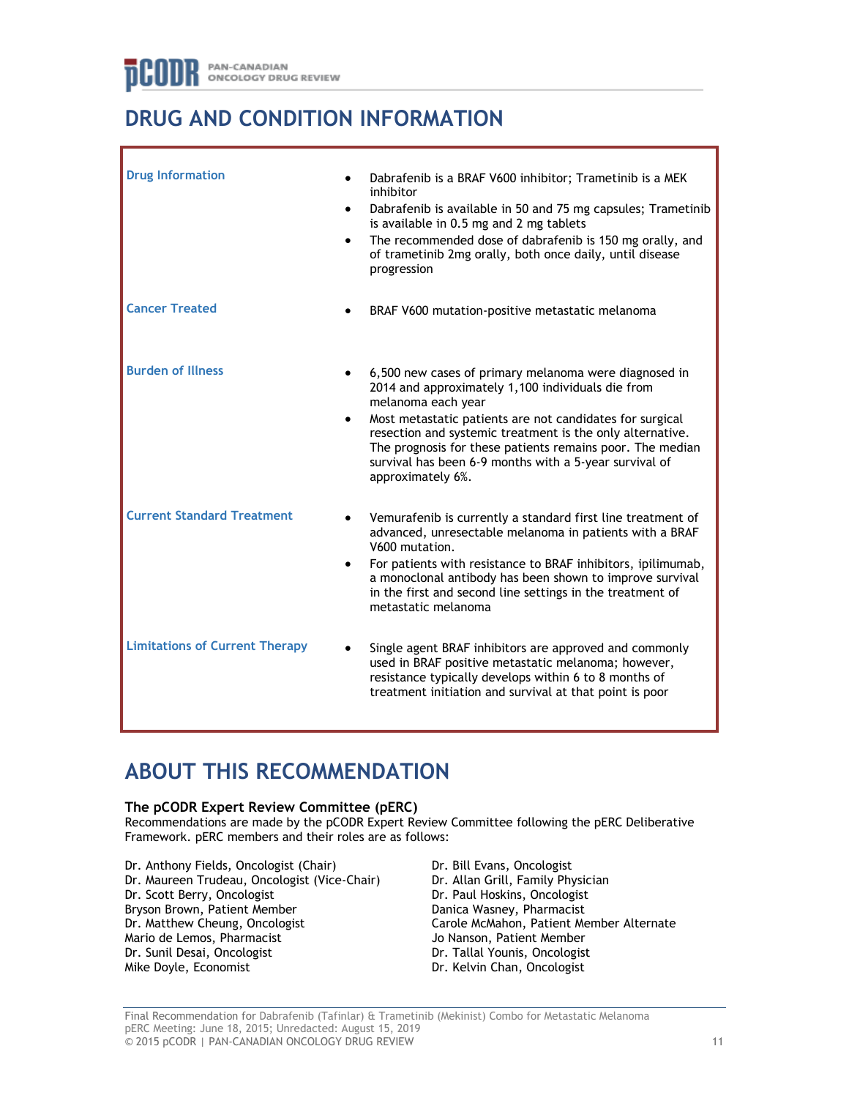# **DRUG AND CONDITION INFORMATION**

| <b>Drug Information</b>               | $\bullet$<br>$\bullet$ | Dabrafenib is a BRAF V600 inhibitor; Trametinib is a MEK<br>inhibitor<br>Dabrafenib is available in 50 and 75 mg capsules; Trametinib<br>is available in 0.5 mg and 2 mg tablets<br>The recommended dose of dabrafenib is 150 mg orally, and<br>of trametinib 2mg orally, both once daily, until disease<br>progression                                                                               |
|---------------------------------------|------------------------|-------------------------------------------------------------------------------------------------------------------------------------------------------------------------------------------------------------------------------------------------------------------------------------------------------------------------------------------------------------------------------------------------------|
| <b>Cancer Treated</b>                 |                        | BRAF V600 mutation-positive metastatic melanoma                                                                                                                                                                                                                                                                                                                                                       |
| <b>Burden of Illness</b>              | ٠                      | 6,500 new cases of primary melanoma were diagnosed in<br>2014 and approximately 1,100 individuals die from<br>melanoma each year<br>Most metastatic patients are not candidates for surgical<br>resection and systemic treatment is the only alternative.<br>The prognosis for these patients remains poor. The median<br>survival has been 6-9 months with a 5-year survival of<br>approximately 6%. |
| <b>Current Standard Treatment</b>     |                        | Vemurafenib is currently a standard first line treatment of<br>advanced, unresectable melanoma in patients with a BRAF<br>V600 mutation.<br>For patients with resistance to BRAF inhibitors, ipilimumab,<br>a monoclonal antibody has been shown to improve survival<br>in the first and second line settings in the treatment of<br>metastatic melanoma                                              |
| <b>Limitations of Current Therapy</b> |                        | Single agent BRAF inhibitors are approved and commonly<br>used in BRAF positive metastatic melanoma; however,<br>resistance typically develops within 6 to 8 months of<br>treatment initiation and survival at that point is poor                                                                                                                                                                     |

# **ABOUT THIS RECOMMENDATION**

# **The pCODR Expert Review Committee (pERC)**

Recommendations are made by the pCODR Expert Review Committee following the pERC Deliberative Framework. pERC members and their roles are as follows:

Dr. Anthony Fields, Oncologist (Chair) Dr. Maureen Trudeau, Oncologist (Vice-Chair) Dr. Scott Berry, Oncologist Bryson Brown, Patient Member Dr. Matthew Cheung, Oncologist Mario de Lemos, Pharmacist Dr. Sunil Desai, Oncologist Mike Doyle, Economist

Dr. Bill Evans, Oncologist Dr. Allan Grill, Family Physician Dr. Paul Hoskins, Oncologist Danica Wasney, Pharmacist Carole McMahon, Patient Member Alternate Jo Nanson, Patient Member Dr. Tallal Younis, Oncologist Dr. Kelvin Chan, Oncologist